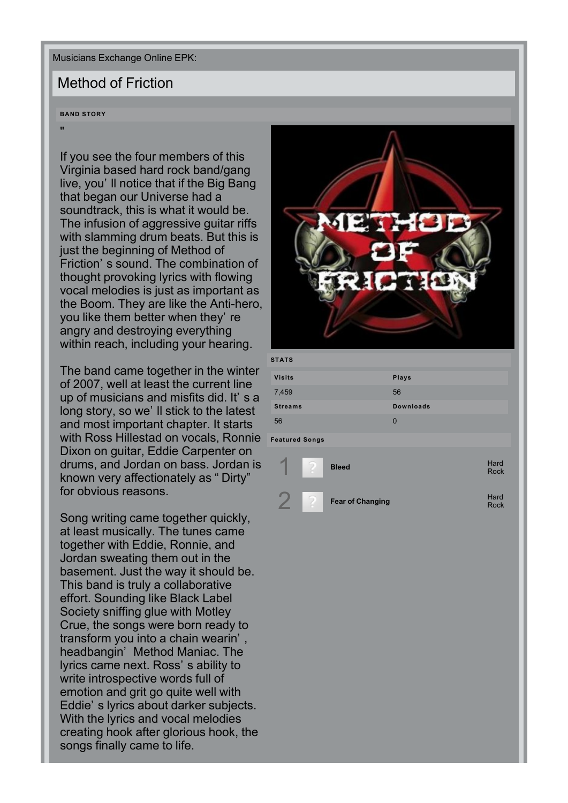Musicians Exchange Online EPK:

## Method of Friction

**BAND STORY**

"

If you see the four members of this Virginia based hard rock band/gang live, you'll notice that if the Big Bang that began our Universe had a soundtrack, this is what it would be. The infusion of aggressive guitar riffs with slamming drum beats. But this is just the beginning of Method of Friction's sound. The combination of thought provoking lyrics with flowing vocal melodies is just as important as the Boom. They are like the Anti-hero, you like them better when they' re angry and destroying everything within reach, including your hearing.

The band came together in the winter of 2007, well at least the current line up of musicians and misfits did. It's a long story, so we'll stick to the latest and most important chapter. It starts with Ross Hillestad on vocals, Ronnie **Featured Songs** Dixon on guitar, Eddie Carpenter on drums, and Jordan on bass. Jordan is known very affectionately as "Dirty" for obvious reasons.

Song writing came together quickly. at least musically. The tunes came together with Eddie, Ronnie, and Jordan sweating them out in the basement. Just the way it should be. This band is truly a collaborative effort. Sounding like Black Label Society sniffing glue with Motley Crue, the songs were born ready to transform you into a chain wearin', headbangin' Method Maniac. The lyrics came next. Ross's ability to write introspective words full of emotion and grit go quite well with Eddie's lyrics about darker subjects. With the lyrics and vocal melodies creating hook after glorious hook, the songs finally came to life.



| <b>STATS</b>   |                  |
|----------------|------------------|
| <b>Visits</b>  | Plays            |
| 7,459          | 56               |
| <b>Streams</b> | <b>Downloads</b> |
| 56             | 0                |
|                |                  |

|   | <b>Bleed</b>            | Hard<br><b>Rock</b> |
|---|-------------------------|---------------------|
| ۰ | <b>Fear of Changing</b> | Hard<br><b>Rock</b> |